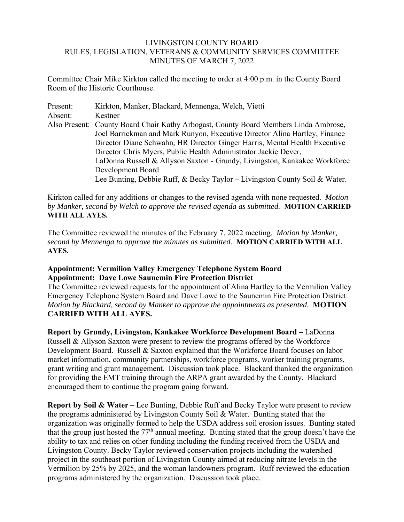## LIVINGSTON COUNTY BOARD RULES, LEGISLATION, VETERANS & COMMUNITY SERVICES COMMITTEE MINUTES OF MARCH 7, 2022

Committee Chair Mike Kirkton called the meeting to order at 4:00 p.m. in the County Board Room of the Historic Courthouse.

| Present: | Kirkton, Manker, Blackard, Mennenga, Welch, Vietti                                   |
|----------|--------------------------------------------------------------------------------------|
| Absent:  | Kestner                                                                              |
|          | Also Present: County Board Chair Kathy Arbogast, County Board Members Linda Ambrose, |
|          | Joel Barrickman and Mark Runyon, Executive Director Alina Hartley, Finance           |
|          | Director Diane Schwahn, HR Director Ginger Harris, Mental Health Executive           |
|          | Director Chris Myers, Public Health Administrator Jackie Dever,                      |
|          | LaDonna Russell & Allyson Saxton - Grundy, Livingston, Kankakee Workforce            |
|          | Development Board                                                                    |
|          | Lee Bunting, Debbie Ruff, & Becky Taylor – Livingston County Soil & Water.           |

Kirkton called for any additions or changes to the revised agenda with none requested. *Motion by Manker, second by Welch to approve the revised agenda as submitted.* **MOTION CARRIED WITH ALL AYES.** 

The Committee reviewed the minutes of the February 7, 2022 meeting. *Motion by Manker, second by Mennenga to approve the minutes as submitted.* **MOTION CARRIED WITH ALL AYES.** 

## **Appointment: Vermilion Valley Emergency Telephone System Board Appointment: Dave Lowe Saunemin Fire Protection District**

The Committee reviewed requests for the appointment of Alina Hartley to the Vermilion Valley Emergency Telephone System Board and Dave Lowe to the Saunemin Fire Protection District. *Motion by Blackard, second by Manker to approve the appointments as presented.* **MOTION CARRIED WITH ALL AYES.** 

**Report by Grundy, Livingston, Kankakee Workforce Development Board –** LaDonna Russell & Allyson Saxton were present to review the programs offered by the Workforce Development Board. Russell & Saxton explained that the Workforce Board focuses on labor market information, community partnerships, workforce programs, worker training programs, grant writing and grant management. Discussion took place. Blackard thanked the organization for providing the EMT training through the ARPA grant awarded by the County. Blackard encouraged them to continue the program going forward.

**Report by Soil & Water –** Lee Bunting, Debbie Ruff and Becky Taylor were present to review the programs administered by Livingston County Soil & Water. Bunting stated that the organization was originally formed to help the USDA address soil erosion issues. Bunting stated that the group just hosted the 77<sup>th</sup> annual meeting. Bunting stated that the group doesn't have the ability to tax and relies on other funding including the funding received from the USDA and Livingston County. Becky Taylor reviewed conservation projects including the watershed project in the southeast portion of Livingston County aimed at reducing nitrate levels in the Vermilion by 25% by 2025, and the woman landowners program. Ruff reviewed the education programs administered by the organization. Discussion took place.